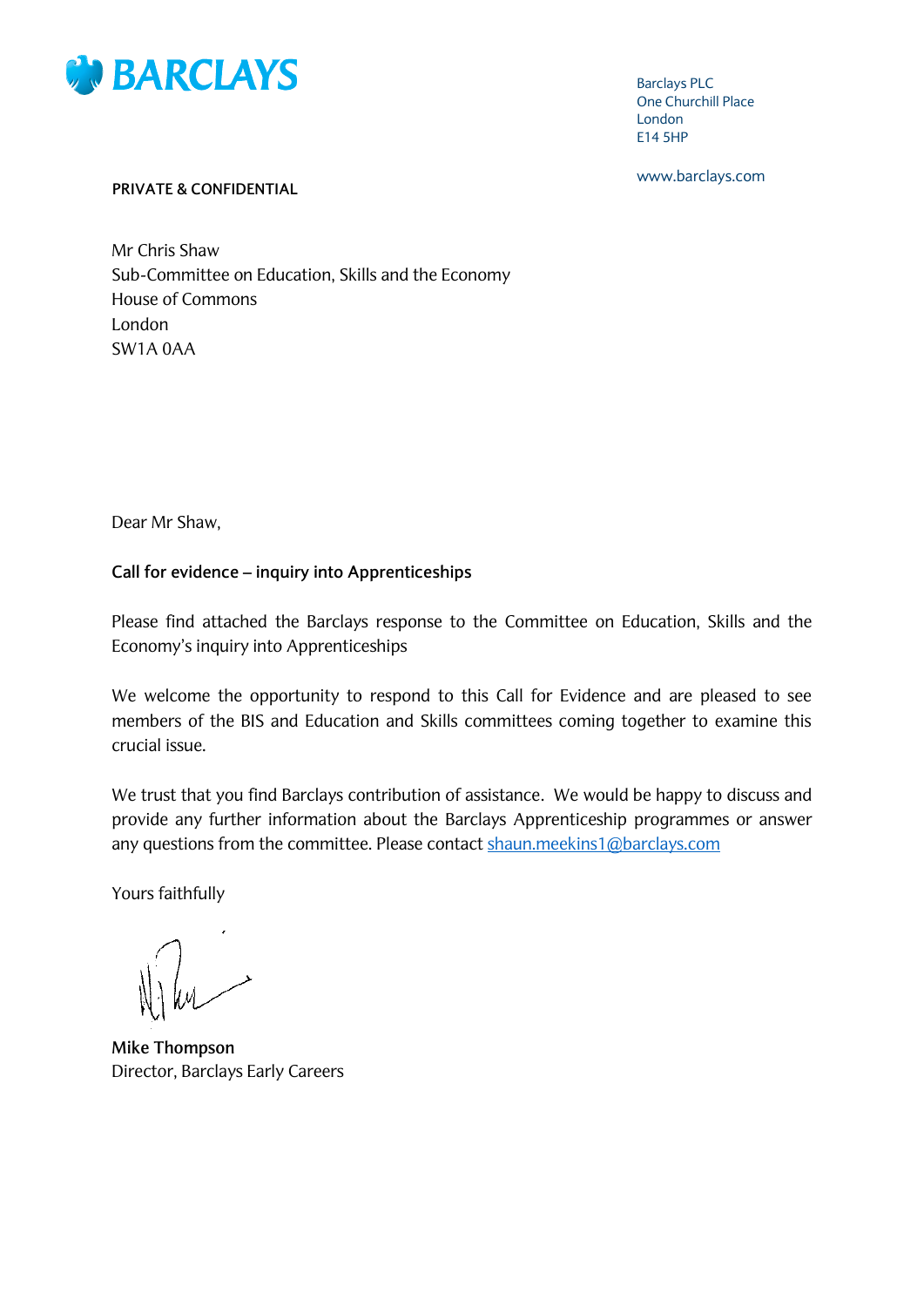

Barclays PLC One Churchill Place London E14 5HP

www.barclays.com

#### **PRIVATE & CONFIDENTIAL**

Mr Chris Shaw Sub-Committee on Education, Skills and the Economy House of Commons London SW1A 0AA

Dear Mr Shaw,

#### **Call for evidence – inquiry into Apprenticeships**

Please find attached the Barclays response to the Committee on Education, Skills and the Economy's inquiry into Apprenticeships

We welcome the opportunity to respond to this Call for Evidence and are pleased to see members of the BIS and Education and Skills committees coming together to examine this crucial issue.

We trust that you find Barclays contribution of assistance. We would be happy to discuss and provide any further information about the Barclays Apprenticeship programmes or answer any questions from the committee. Please contact [shaun.meekins1@barclays.com](mailto:shaun.meekins1@barclays.com)

Yours faithfully

**Mike Thompson** Director, Barclays Early Careers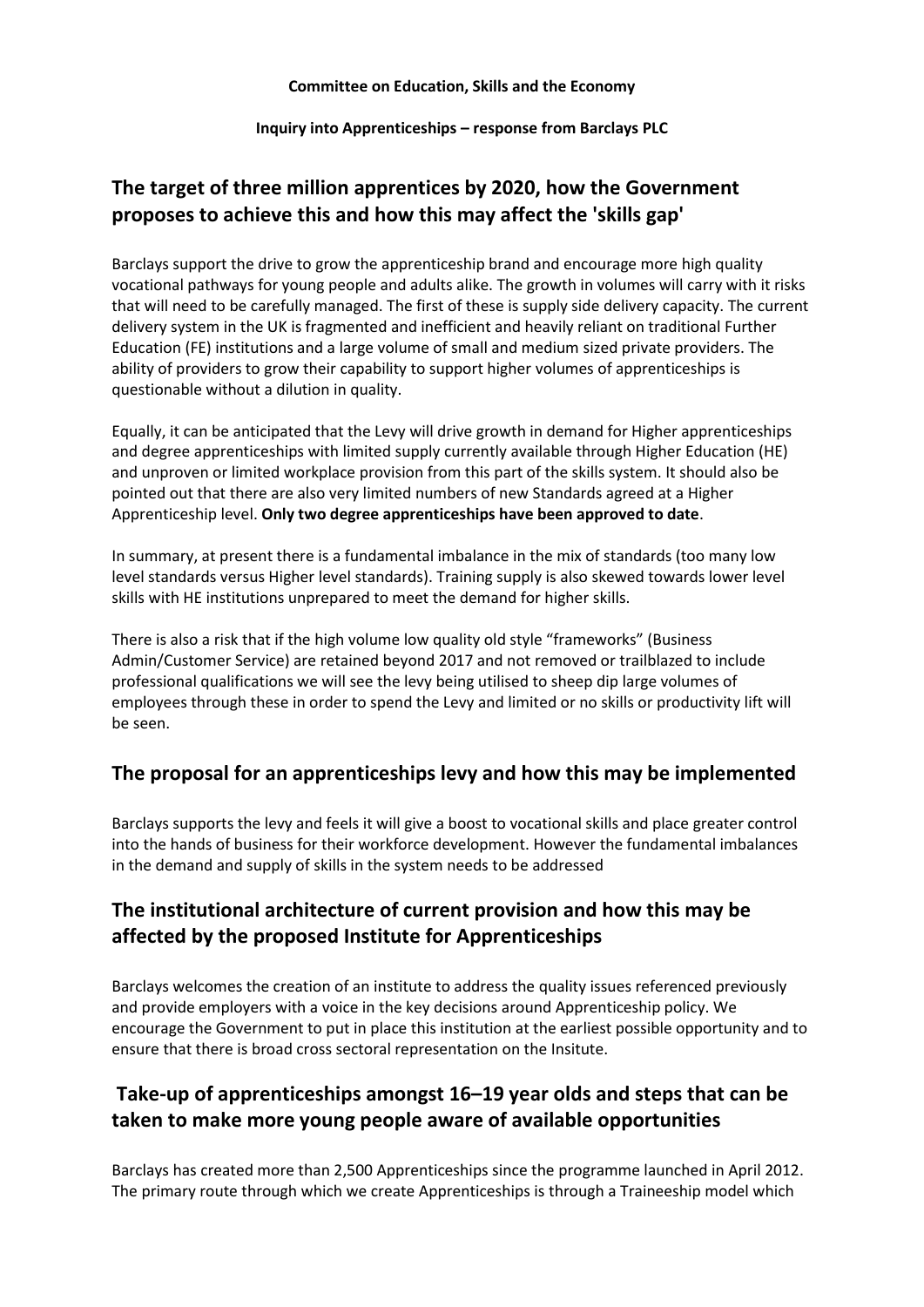#### **Committee on Education, Skills and the Economy**

#### **Inquiry into Apprenticeships – response from Barclays PLC**

# **The target of three million apprentices by 2020, how the Government proposes to achieve this and how this may affect the 'skills gap'**

Barclays support the drive to grow the apprenticeship brand and encourage more high quality vocational pathways for young people and adults alike. The growth in volumes will carry with it risks that will need to be carefully managed. The first of these is supply side delivery capacity. The current delivery system in the UK is fragmented and inefficient and heavily reliant on traditional Further Education (FE) institutions and a large volume of small and medium sized private providers. The ability of providers to grow their capability to support higher volumes of apprenticeships is questionable without a dilution in quality.

Equally, it can be anticipated that the Levy will drive growth in demand for Higher apprenticeships and degree apprenticeships with limited supply currently available through Higher Education (HE) and unproven or limited workplace provision from this part of the skills system. It should also be pointed out that there are also very limited numbers of new Standards agreed at a Higher Apprenticeship level. **Only two degree apprenticeships have been approved to date**.

In summary, at present there is a fundamental imbalance in the mix of standards (too many low level standards versus Higher level standards). Training supply is also skewed towards lower level skills with HE institutions unprepared to meet the demand for higher skills.

There is also a risk that if the high volume low quality old style "frameworks" (Business Admin/Customer Service) are retained beyond 2017 and not removed or trailblazed to include professional qualifications we will see the levy being utilised to sheep dip large volumes of employees through these in order to spend the Levy and limited or no skills or productivity lift will be seen.

### **The proposal for an apprenticeships levy and how this may be implemented**

Barclays supports the levy and feels it will give a boost to vocational skills and place greater control into the hands of business for their workforce development. However the fundamental imbalances in the demand and supply of skills in the system needs to be addressed

## **The institutional architecture of current provision and how this may be affected by the proposed Institute for Apprenticeships**

Barclays welcomes the creation of an institute to address the quality issues referenced previously and provide employers with a voice in the key decisions around Apprenticeship policy. We encourage the Government to put in place this institution at the earliest possible opportunity and to ensure that there is broad cross sectoral representation on the Insitute.

## **Take-up of apprenticeships amongst 16–19 year olds and steps that can be taken to make more young people aware of available opportunities**

Barclays has created more than 2,500 Apprenticeships since the programme launched in April 2012. The primary route through which we create Apprenticeships is through a Traineeship model which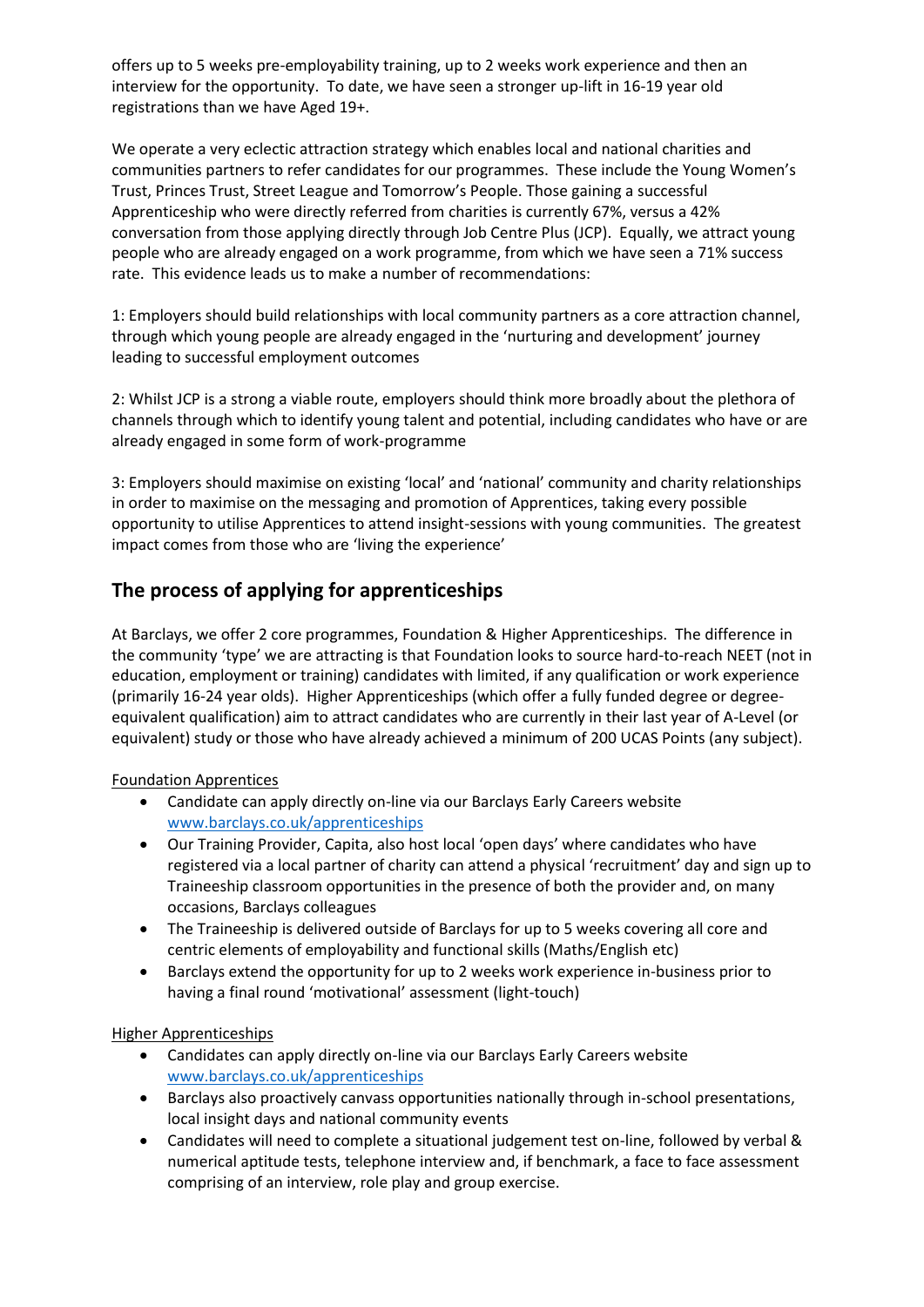offers up to 5 weeks pre-employability training, up to 2 weeks work experience and then an interview for the opportunity. To date, we have seen a stronger up-lift in 16-19 year old registrations than we have Aged 19+.

We operate a very eclectic attraction strategy which enables local and national charities and communities partners to refer candidates for our programmes. These include the Young Women's Trust, Princes Trust, Street League and Tomorrow's People. Those gaining a successful Apprenticeship who were directly referred from charities is currently 67%, versus a 42% conversation from those applying directly through Job Centre Plus (JCP). Equally, we attract young people who are already engaged on a work programme, from which we have seen a 71% success rate. This evidence leads us to make a number of recommendations:

1: Employers should build relationships with local community partners as a core attraction channel, through which young people are already engaged in the 'nurturing and development' journey leading to successful employment outcomes

2: Whilst JCP is a strong a viable route, employers should think more broadly about the plethora of channels through which to identify young talent and potential, including candidates who have or are already engaged in some form of work-programme

3: Employers should maximise on existing 'local' and 'national' community and charity relationships in order to maximise on the messaging and promotion of Apprentices, taking every possible opportunity to utilise Apprentices to attend insight-sessions with young communities. The greatest impact comes from those who are 'living the experience'

# **The process of applying for apprenticeships**

At Barclays, we offer 2 core programmes, Foundation & Higher Apprenticeships. The difference in the community 'type' we are attracting is that Foundation looks to source hard-to-reach NEET (not in education, employment or training) candidates with limited, if any qualification or work experience (primarily 16-24 year olds). Higher Apprenticeships (which offer a fully funded degree or degreeequivalent qualification) aim to attract candidates who are currently in their last year of A-Level (or equivalent) study or those who have already achieved a minimum of 200 UCAS Points (any subject).

#### Foundation Apprentices

- Candidate can apply directly on-line via our Barclays Early Careers website [www.barclays.co.uk/apprenticeships](http://www.barclays.co.uk/apprenticeships)
- Our Training Provider, Capita, also host local 'open days' where candidates who have registered via a local partner of charity can attend a physical 'recruitment' day and sign up to Traineeship classroom opportunities in the presence of both the provider and, on many occasions, Barclays colleagues
- The Traineeship is delivered outside of Barclays for up to 5 weeks covering all core and centric elements of employability and functional skills (Maths/English etc)
- Barclays extend the opportunity for up to 2 weeks work experience in-business prior to having a final round 'motivational' assessment (light-touch)

#### Higher Apprenticeships

- Candidates can apply directly on-line via our Barclays Early Careers website [www.barclays.co.uk/apprenticeships](http://www.barclays.co.uk/apprenticeships)
- Barclays also proactively canvass opportunities nationally through in-school presentations, local insight days and national community events
- Candidates will need to complete a situational judgement test on-line, followed by verbal & numerical aptitude tests, telephone interview and, if benchmark, a face to face assessment comprising of an interview, role play and group exercise.